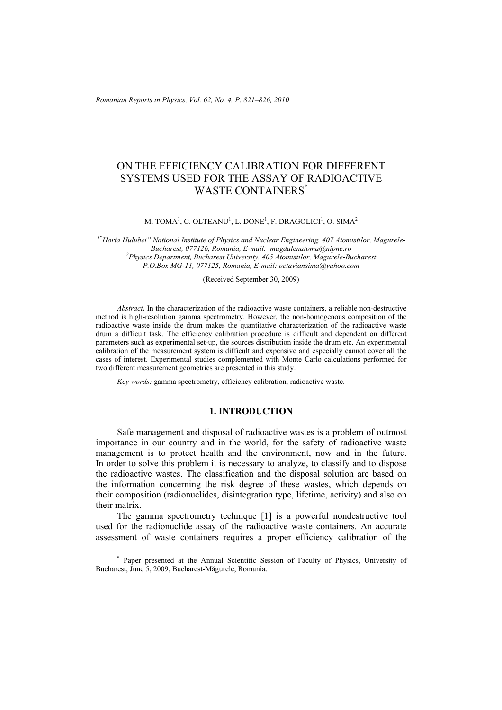*Romanian Reports in Physics, Vol. 62, No. 4, P. 821–826, 2010*

# ON THE EFFICIENCY CALIBRATION FOR DIFFERENT SYSTEMS USED FOR THE ASSAY OF RADIOACTIVE WASTE CONTAINERS\*

M. TOMA $^1$ , C. OLTEANU $^1$ , L. DONE $^1$ , F. DRAGOLICI $^1$ , O. SIMA $^2$ 

*1"Horia Hulubei" National Institute of Physics and Nuclear Engineering, 407 Atomistilor, Magurele-Bucharest, 077126, Romania, E-mail: magdalenatoma@nipne.ro 2 Physics Department, Bucharest University, 405 Atomistilor, Magurele-Bucharest P.O.Box MG-11, 077125, Romania, E-mail: octaviansima@yahoo.com* 

(Received September 30, 2009)

*Abstract.* In the characterization of the radioactive waste containers, a reliable non-destructive method is high-resolution gamma spectrometry. However, the non-homogenous composition of the radioactive waste inside the drum makes the quantitative characterization of the radioactive waste drum a difficult task. The efficiency calibration procedure is difficult and dependent on different parameters such as experimental set-up, the sources distribution inside the drum etc. An experimental calibration of the measurement system is difficult and expensive and especially cannot cover all the cases of interest. Experimental studies complemented with Monte Carlo calculations performed for two different measurement geometries are presented in this study.

*Key words:* gamma spectrometry, efficiency calibration, radioactive waste.

# **1. INTRODUCTION**

Safe management and disposal of radioactive wastes is a problem of outmost importance in our country and in the world, for the safety of radioactive waste management is to protect health and the environment, now and in the future. In order to solve this problem it is necessary to analyze, to classify and to dispose the radioactive wastes. The classification and the disposal solution are based on the information concerning the risk degree of these wastes, which depends on their composition (radionuclides, disintegration type, lifetime, activity) and also on their matrix.

The gamma spectrometry technique [1] is a powerful nondestructive tool used for the radionuclide assay of the radioactive waste containers. An accurate assessment of waste containers requires a proper efficiency calibration of the

 <sup>\*</sup> Paper presented at the Annual Scientific Session of Faculty of Physics, University of Bucharest, June 5, 2009, Bucharest-Măgurele, Romania.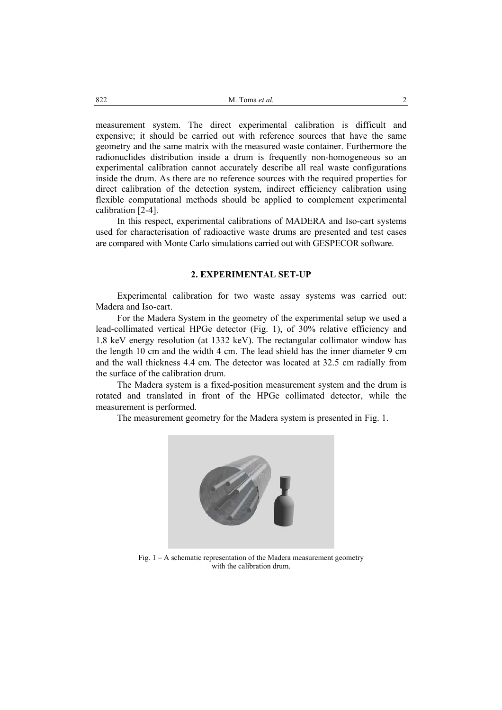measurement system. The direct experimental calibration is difficult and expensive; it should be carried out with reference sources that have the same geometry and the same matrix with the measured waste container. Furthermore the radionuclides distribution inside a drum is frequently non-homogeneous so an experimental calibration cannot accurately describe all real waste configurations inside the drum. As there are no reference sources with the required properties for direct calibration of the detection system, indirect efficiency calibration using flexible computational methods should be applied to complement experimental calibration [2-4].

In this respect, experimental calibrations of MADERA and Iso-cart systems used for characterisation of radioactive waste drums are presented and test cases are compared with Monte Carlo simulations carried out with GESPECOR software.

#### **2. EXPERIMENTAL SET-UP**

Experimental calibration for two waste assay systems was carried out: Madera and Iso-cart.

For the Madera System in the geometry of the experimental setup we used a lead-collimated vertical HPGe detector (Fig. 1), of 30% relative efficiency and 1.8 keV energy resolution (at 1332 keV). The rectangular collimator window has the length 10 cm and the width 4 cm. The lead shield has the inner diameter 9 cm and the wall thickness 4.4 cm. The detector was located at 32.5 cm radially from the surface of the calibration drum.

The Madera system is a fixed-position measurement system and the drum is rotated and translated in front of the HPGe collimated detector, while the measurement is performed.

The measurement geometry for the Madera system is presented in Fig. 1.



Fig.  $1 - A$  schematic representation of the Madera measurement geometry with the calibration drum.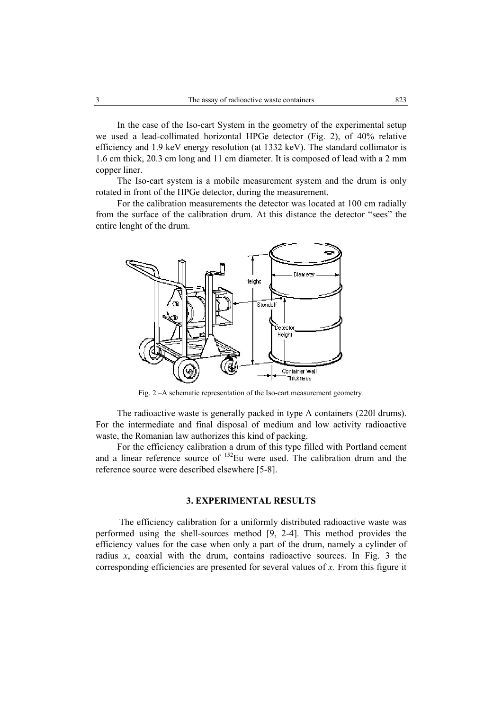In the case of the Iso-cart System in the geometry of the experimental setup we used a lead-collimated horizontal HPGe detector (Fig. 2), of 40% relative efficiency and 1.9 keV energy resolution (at 1332 keV). The standard collimator is 1.6 cm thick, 20.3 cm long and 11 cm diameter. It is composed of lead with a 2 mm copper liner.

The Iso-cart system is a mobile measurement system and the drum is only rotated in front of the HPGe detector, during the measurement.

For the calibration measurements the detector was located at 100 cm radially from the surface of the calibration drum. At this distance the detector "sees" the entire lenght of the drum.



Fig. 2 –A schematic representation of the Iso-cart measurement geometry.

The radioactive waste is generally packed in type A containers (220l drums). For the intermediate and final disposal of medium and low activity radioactive waste, the Romanian law authorizes this kind of packing.

For the efficiency calibration a drum of this type filled with Portland cement and a linear reference source of <sup>152</sup>Eu were used. The calibration drum and the reference source were described elsewhere [5-8].

#### **3. EXPERIMENTAL RESULTS**

The efficiency calibration for a uniformly distributed radioactive waste was performed using the shell-sources method [9, 2-4]. This method provides the efficiency values for the case when only a part of the drum, namely a cylinder of radius *x*, coaxial with the drum, contains radioactive sources. In Fig. 3 the corresponding efficiencies are presented for several values of *x.* From this figure it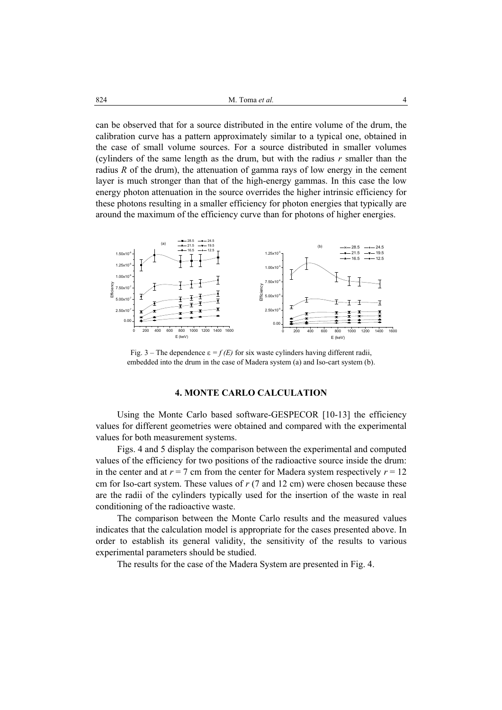can be observed that for a source distributed in the entire volume of the drum, the calibration curve has a pattern approximately similar to a typical one, obtained in the case of small volume sources. For a source distributed in smaller volumes (cylinders of the same length as the drum, but with the radius *r* smaller than the radius  $R$  of the drum), the attenuation of gamma rays of low energy in the cement layer is much stronger than that of the high-energy gammas. In this case the low energy photon attenuation in the source overrides the higher intrinsic efficiency for these photons resulting in a smaller efficiency for photon energies that typically are around the maximum of the efficiency curve than for photons of higher energies.



Fig. 3 – The dependence  $\varepsilon = f(E)$  for six waste cylinders having different radii, embedded into the drum in the case of Madera system (a) and Iso-cart system (b).

### **4. MONTE CARLO CALCULATION**

Using the Monte Carlo based software-GESPECOR [10-13] the efficiency values for different geometries were obtained and compared with the experimental values for both measurement systems.

Figs. 4 and 5 display the comparison between the experimental and computed values of the efficiency for two positions of the radioactive source inside the drum: in the center and at  $r = 7$  cm from the center for Madera system respectively  $r = 12$ cm for Iso-cart system. These values of *r* (7 and 12 cm) were chosen because these are the radii of the cylinders typically used for the insertion of the waste in real conditioning of the radioactive waste.

The comparison between the Monte Carlo results and the measured values indicates that the calculation model is appropriate for the cases presented above. In order to establish its general validity, the sensitivity of the results to various experimental parameters should be studied.

The results for the case of the Madera System are presented in Fig. 4.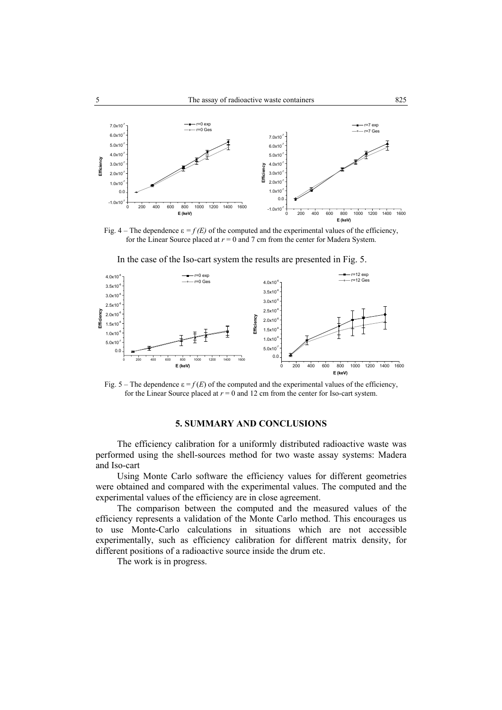

Fig. 4 – The dependence  $\varepsilon = f(E)$  of the computed and the experimental values of the efficiency, for the Linear Source placed at  $r = 0$  and 7 cm from the center for Madera System.



In the case of the Iso-cart system the results are presented in Fig. 5.

Fig. 5 – The dependence  $\varepsilon = f(E)$  of the computed and the experimental values of the efficiency, for the Linear Source placed at  $r = 0$  and 12 cm from the center for Iso-cart system.

## **5. SUMMARY AND CONCLUSIONS**

The efficiency calibration for a uniformly distributed radioactive waste was performed using the shell-sources method for two waste assay systems: Madera and Iso-cart

Using Monte Carlo software the efficiency values for different geometries were obtained and compared with the experimental values. The computed and the experimental values of the efficiency are in close agreement.

The comparison between the computed and the measured values of the efficiency represents a validation of the Monte Carlo method. This encourages us to use Monte-Carlo calculations in situations which are not accessible experimentally, such as efficiency calibration for different matrix density, for different positions of a radioactive source inside the drum etc.

The work is in progress.